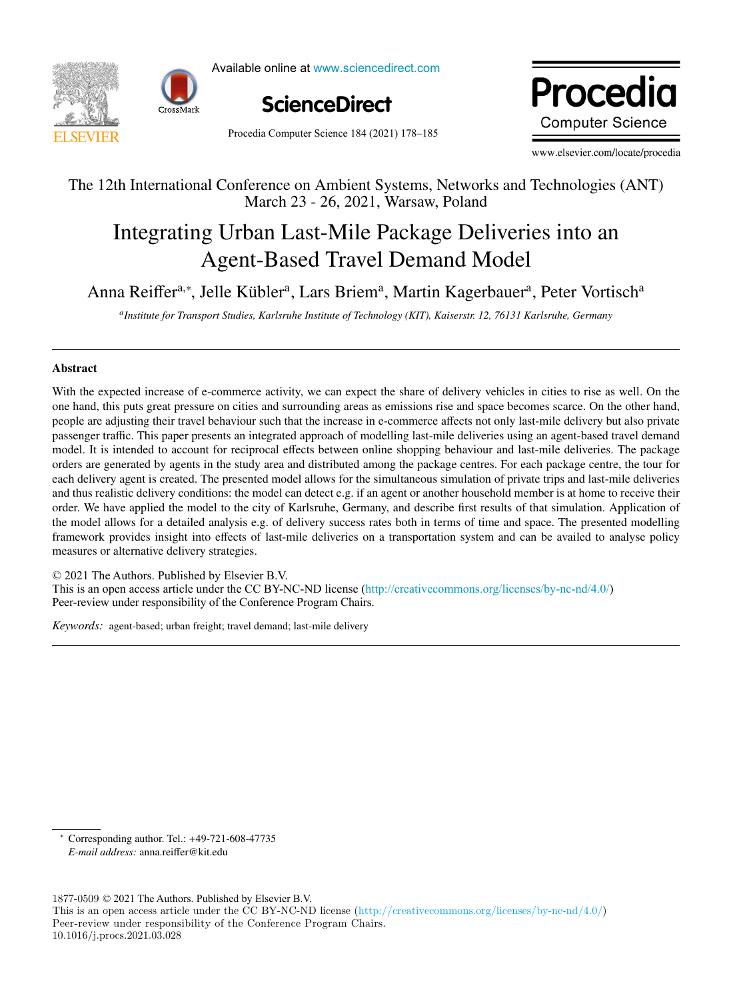



Available online at www.sciencedirect.com



Procedia Computer Science 184 (2021) 178-185

Procedia **Computer Science** 

www.elsevier.com/locate/procedia

# The 12th International Conference on Ambient Systems, Networks and Technologies (ANT) The 12th International Conference on Ambient Systems, Networks and Technologies (ANT) March 23 - 26, 2021, Warsaw, Poland March 23 - 26, 2021, Warsaw, Poland

# Integrating Urban Last-Mile Package Deliveries into an Integrating Urban Last-Mile Package Deliveries into an Agent-Based Travel Demand Model Agent-Based Travel Demand Model

Anna Reiffer<sup>a,∗</sup>, Jelle Kübler<sup>a</sup>, Lars Briem<sup>a</sup>, Martin Kagerbauer<sup>a</sup>, Peter Vortisch<sup>a</sup>

a<br>Institute for Transport Studies, Karlsruhe Institute of Technology (KIT), Kaiserstr. 12, 76131 Karlsruhe, Germany

# Abstract Abstract

With the expected increase of e-commerce activity, we can expect the share of delivery vehicles in cities to rise as well. On the With the expected increase of e-commerce activity, we can expect the share of delivery vehicles in cities to rise as well. On the one hand, this puts great pressure on cities and surrounding areas as emissions rise and space becomes scarce. On the other hand, people are adjusting their travel behaviour such that the increase in e-commerce affects not only last-mile delivery but also private passenger traffic. This paper presents an integrated approach of modelling last-mile deliveries using an agent-based travel demand model. It is intended to account for reciprocal effects between online shopping behaviour and last-mile deliveries. The package orders are generated by agents in the study area and distributed among the package centres. For each package centre, the tour for each delivery agent is created. The presented model allows for the simultaneous simulation of private trips and last-mile deliveries and thus realistic delivery conditions: the model can detect e.g. if an agent or another household member is at home to receive their order. We have applied the model to the city of Karlsruhe, Germany, and describe first results of that simulation. Application of the model allows for a detailed analysis e.g. of delivery success rates both in terms of time and space. The presented modelling framework provides insight into effects of last-mile deliveries on a transportation system and can be availed to analyse policy measures or alternative delivery strategies.

 $© 2021$  The Authors. Published by Elsevier B.V. Section 2021 The Additions. The mass article under the CC BY-NC-ND license ([http://creativecommons.org/licenses/by-nc-nd/4.0/\)](http://creativecommons.org/licenses/by-nc-nd/4.0/) Peer-review under responsibility of the Conference Program Chairs. Peer-review under responsibility of the Conference Program Chairs.

*Keywords:* agent-based; urban freight; travel demand; last-mile delivery *Keywords:* agent-based; urban freight; travel demand; last-mile delivery

∗ Corresponding author. Tel.: +49-721-608-47735 *E-mail address:* anna.reiffer@kit.edu

 $1877-0509 \odot 2021$  The Authors. Published by Elsevier B.V. This is an open access article under the CC BY-NC-ND license (http://creativecommons.org/licenses/by-nc-nd/4.0/) Peer-review under responsibility of the Conference Program Chairs. 10.1016/j.procs.2021.03.028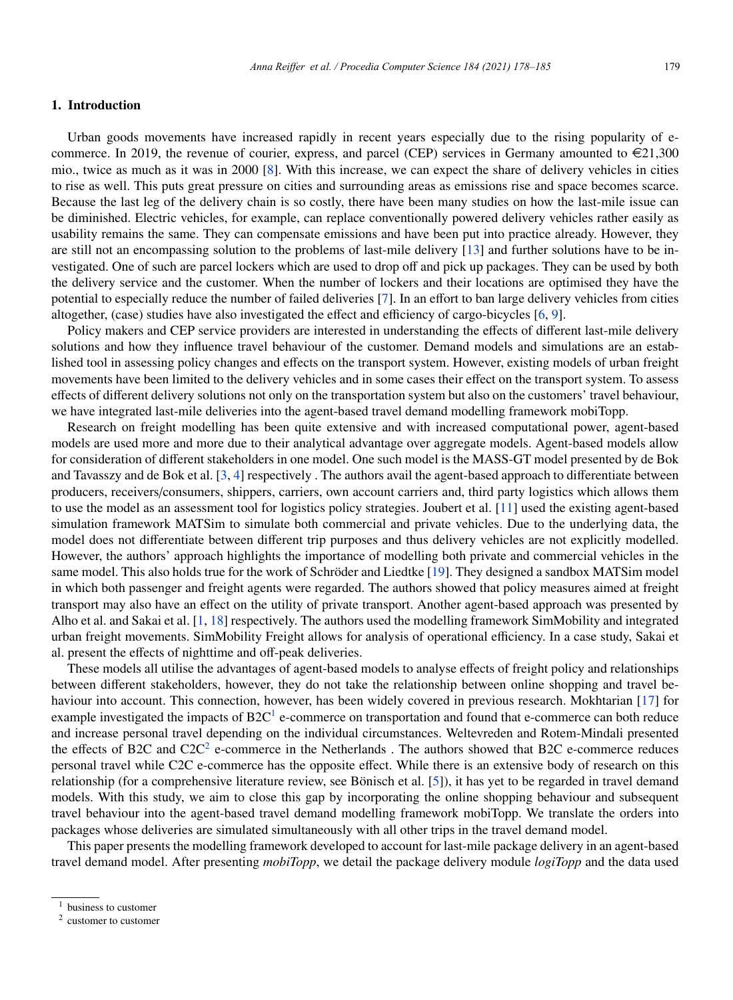# 1. Introduction

Urban goods movements have increased rapidly in recent years especially due to the rising popularity of ecommerce. In 2019, the revenue of courier, express, and parcel (CEP) services in Germany amounted to  $\epsilon$ 21,300 mio., twice as much as it was in 2000 [8]. With this increase, we can expect the share of delivery vehicles in cities to rise as well. This puts great pressure on cities and surrounding areas as emissions rise and space becomes scarce. Because the last leg of the delivery chain is so costly, there have been many studies on how the last-mile issue can be diminished. Electric vehicles, for example, can replace conventionally powered delivery vehicles rather easily as usability remains the same. They can compensate emissions and have been put into practice already. However, they are still not an encompassing solution to the problems of last-mile delivery [13] and further solutions have to be investigated. One of such are parcel lockers which are used to drop off and pick up packages. They can be used by both the delivery service and the customer. When the number of lockers and their locations are optimised they have the potential to especially reduce the number of failed deliveries [7]. In an effort to ban large delivery vehicles from cities altogether, (case) studies have also investigated the effect and efficiency of cargo-bicycles [6, 9].

Policy makers and CEP service providers are interested in understanding the effects of different last-mile delivery solutions and how they influence travel behaviour of the customer. Demand models and simulations are an established tool in assessing policy changes and effects on the transport system. However, existing models of urban freight movements have been limited to the delivery vehicles and in some cases their effect on the transport system. To assess effects of different delivery solutions not only on the transportation system but also on the customers' travel behaviour, we have integrated last-mile deliveries into the agent-based travel demand modelling framework mobiTopp.

Research on freight modelling has been quite extensive and with increased computational power, agent-based models are used more and more due to their analytical advantage over aggregate models. Agent-based models allow for consideration of different stakeholders in one model. One such model is the MASS-GT model presented by de Bok and Tavasszy and de Bok et al. [3, 4] respectively. The authors avail the agent-based approach to differentiate between producers, receivers/consumers, shippers, carriers, own account carriers and, third party logistics which allows them to use the model as an assessment tool for logistics policy strategies. Joubert et al. [11] used the existing agent-based simulation framework MATSim to simulate both commercial and private vehicles. Due to the underlying data, the model does not differentiate between different trip purposes and thus delivery vehicles are not explicitly modelled. However, the authors' approach highlights the importance of modelling both private and commercial vehicles in the same model. This also holds true for the work of Schröder and Liedtke [19]. They designed a sandbox MATSim model in which both passenger and freight agents were regarded. The authors showed that policy measures aimed at freight transport may also have an effect on the utility of private transport. Another agent-based approach was presented by Alho et al. and Sakai et al. [1, 18] respectively. The authors used the modelling framework SimMobility and integrated urban freight movements. SimMobility Freight allows for analysis of operational efficiency. In a case study, Sakai et al. present the effects of nighttime and off-peak deliveries.

These models all utilise the advantages of agent-based models to analyse effects of freight policy and relationships between different stakeholders, however, they do not take the relationship between online shopping and travel behaviour into account. This connection, however, has been widely covered in previous research. Mokhtarian [17] for example investigated the impacts of  $B2C<sup>1</sup>$  e-commerce on transportation and found that e-commerce can both reduce and increase personal travel depending on the individual circumstances. Weltevreden and Rotem-Mindali presented the effects of B2C and  $C2C<sup>2</sup>$  e-commerce in the Netherlands. The authors showed that B2C e-commerce reduces personal travel while C2C e-commerce has the opposite effect. While there is an extensive body of research on this relationship (for a comprehensive literature review, see Bönisch et al. [5]), it has yet to be regarded in travel demand models. With this study, we aim to close this gap by incorporating the online shopping behaviour and subsequent travel behaviour into the agent-based travel demand modelling framework mobiTopp. We translate the orders into packages whose deliveries are simulated simultaneously with all other trips in the travel demand model.

This paper presents the modelling framework developed to account for last-mile package delivery in an agent-based travel demand model. After presenting *mobiTopp*, we detail the package delivery module *logiTopp* and the data used

<sup>&</sup>lt;sup>1</sup> business to customer

<sup>2</sup> customer to customer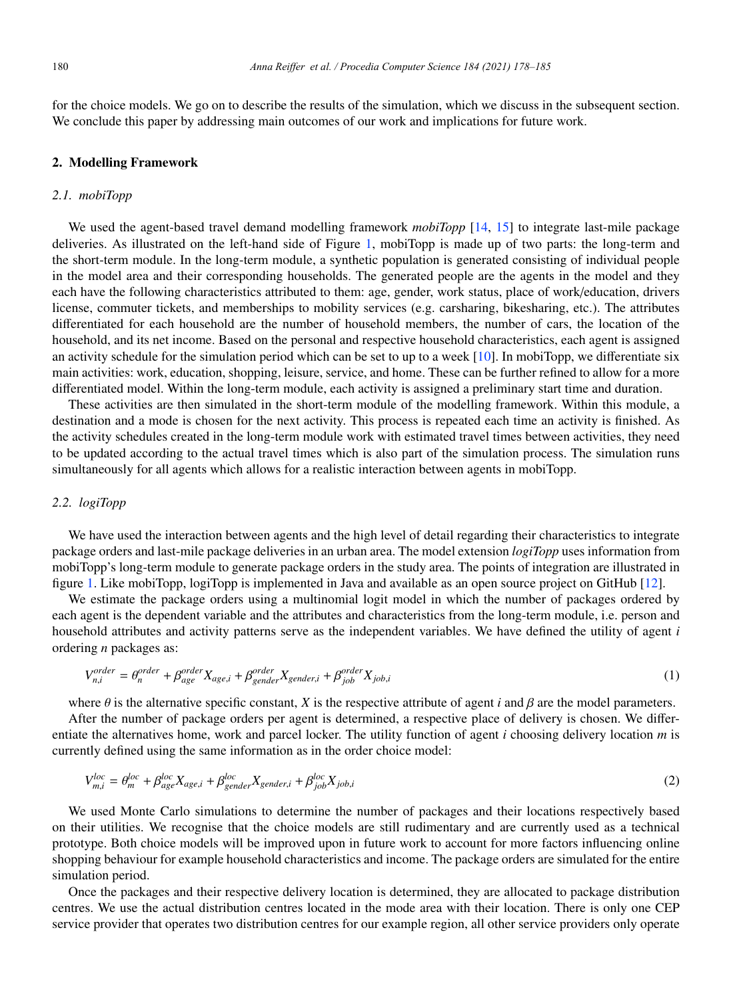for the choice models. We go on to describe the results of the simulation, which we discuss in the subsequent section. We conclude this paper by addressing main outcomes of our work and implications for future work.

## 2. Modelling Framework

#### *2.1. mobiTopp*

We used the agent-based travel demand modelling framework *mobiTopp* [14, 15] to integrate last-mile package deliveries. As illustrated on the left-hand side of Figure 1, mobiTopp is made up of two parts: the long-term and the short-term module. In the long-term module, a synthetic population is generated consisting of individual people in the model area and their corresponding households. The generated people are the agents in the model and they each have the following characteristics attributed to them: age, gender, work status, place of work/education, drivers license, commuter tickets, and memberships to mobility services (e.g. carsharing, bikesharing, etc.). The attributes differentiated for each household are the number of household members, the number of cars, the location of the household, and its net income. Based on the personal and respective household characteristics, each agent is assigned an activity schedule for the simulation period which can be set to up to a week [10]. In mobiTopp, we differentiate six main activities: work, education, shopping, leisure, service, and home. These can be further refined to allow for a more differentiated model. Within the long-term module, each activity is assigned a preliminary start time and duration.

These activities are then simulated in the short-term module of the modelling framework. Within this module, a destination and a mode is chosen for the next activity. This process is repeated each time an activity is finished. As the activity schedules created in the long-term module work with estimated travel times between activities, they need to be updated according to the actual travel times which is also part of the simulation process. The simulation runs simultaneously for all agents which allows for a realistic interaction between agents in mobiTopp.

#### *2.2. logiTopp*

We have used the interaction between agents and the high level of detail regarding their characteristics to integrate package orders and last-mile package deliveries in an urban area. The model extension *logiTopp* uses information from mobiTopp's long-term module to generate package orders in the study area. The points of integration are illustrated in figure 1. Like mobiTopp, logiTopp is implemented in Java and available as an open source project on GitHub [12].

We estimate the package orders using a multinomial logit model in which the number of packages ordered by each agent is the dependent variable and the attributes and characteristics from the long-term module, i.e. person and household attributes and activity patterns serve as the independent variables. We have defined the utility of agent *i* ordering *n* packages as:

$$
V_{n,i}^{order} = \theta_n^{order} + \beta_{age}^{order} X_{age,i} + \beta_{gender}^{order} X_{gender,i} + \beta_{job}^{order} X_{job,i}
$$
\n(1)

where  $\theta$  is the alternative specific constant, *X* is the respective attribute of agent *i* and  $\beta$  are the model parameters.

After the number of package orders per agent is determined, a respective place of delivery is chosen. We differentiate the alternatives home, work and parcel locker. The utility function of agent *i* choosing delivery location *m* is currently defined using the same information as in the order choice model:

$$
V_{m,i}^{loc} = \theta_m^{loc} + \beta_{age}^{loc} X_{age,i} + \beta_{gender}^{loc} X_{gender,i} + \beta_{job}^{loc} X_{job,i}
$$
\n
$$
\tag{2}
$$

We used Monte Carlo simulations to determine the number of packages and their locations respectively based on their utilities. We recognise that the choice models are still rudimentary and are currently used as a technical prototype. Both choice models will be improved upon in future work to account for more factors influencing online shopping behaviour for example household characteristics and income. The package orders are simulated for the entire simulation period.

Once the packages and their respective delivery location is determined, they are allocated to package distribution centres. We use the actual distribution centres located in the mode area with their location. There is only one CEP service provider that operates two distribution centres for our example region, all other service providers only operate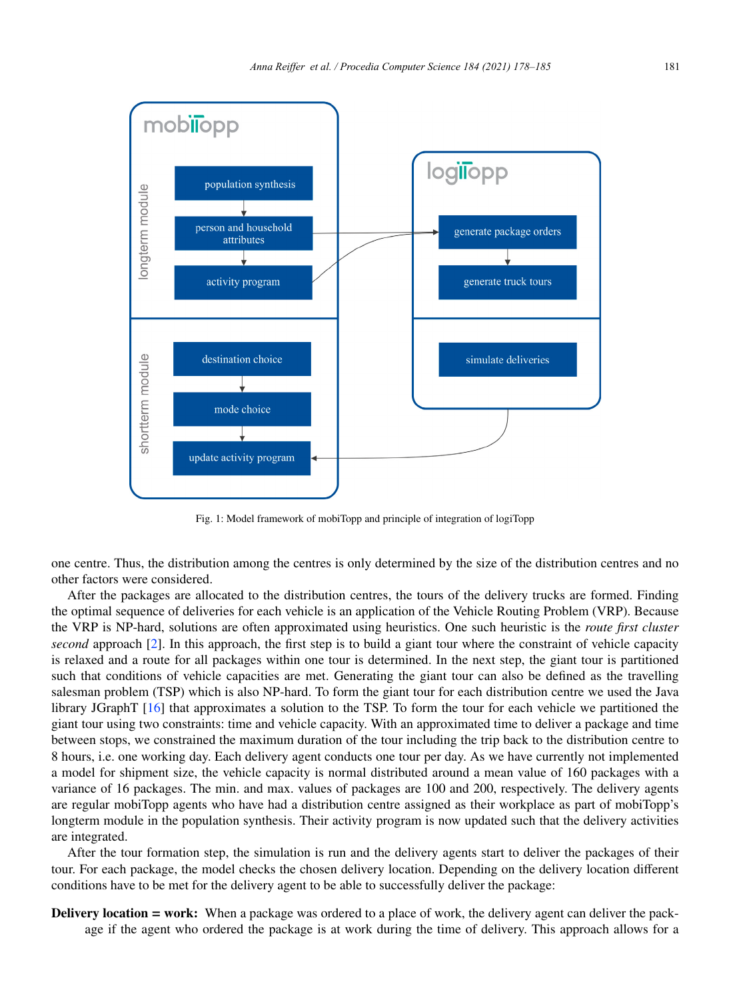

Fig. 1: Model framework of mobiTopp and principle of integration of logiTopp

one centre. Thus, the distribution among the centres is only determined by the size of the distribution centres and no other factors were considered.

After the packages are allocated to the distribution centres, the tours of the delivery trucks are formed. Finding the optimal sequence of deliveries for each vehicle is an application of the Vehicle Routing Problem (VRP). Because the VRP is NP-hard, solutions are often approximated using heuristics. One such heuristic is the *route first cluster second* approach [2]. In this approach, the first step is to build a giant tour where the constraint of vehicle capacity is relaxed and a route for all packages within one tour is determined. In the next step, the giant tour is partitioned such that conditions of vehicle capacities are met. Generating the giant tour can also be defined as the travelling salesman problem (TSP) which is also NP-hard. To form the giant tour for each distribution centre we used the Java library JGraphT [16] that approximates a solution to the TSP. To form the tour for each vehicle we partitioned the giant tour using two constraints: time and vehicle capacity. With an approximated time to deliver a package and time between stops, we constrained the maximum duration of the tour including the trip back to the distribution centre to 8 hours, i.e. one working day. Each delivery agent conducts one tour per day. As we have currently not implemented a model for shipment size, the vehicle capacity is normal distributed around a mean value of 160 packages with a variance of 16 packages. The min. and max. values of packages are 100 and 200, respectively. The delivery agents are regular mobiTopp agents who have had a distribution centre assigned as their workplace as part of mobiTopp's longterm module in the population synthesis. Their activity program is now updated such that the delivery activities are integrated.

After the tour formation step, the simulation is run and the delivery agents start to deliver the packages of their tour. For each package, the model checks the chosen delivery location. Depending on the delivery location different conditions have to be met for the delivery agent to be able to successfully deliver the package:

Delivery location = work: When a package was ordered to a place of work, the delivery agent can deliver the package if the agent who ordered the package is at work during the time of delivery. This approach allows for a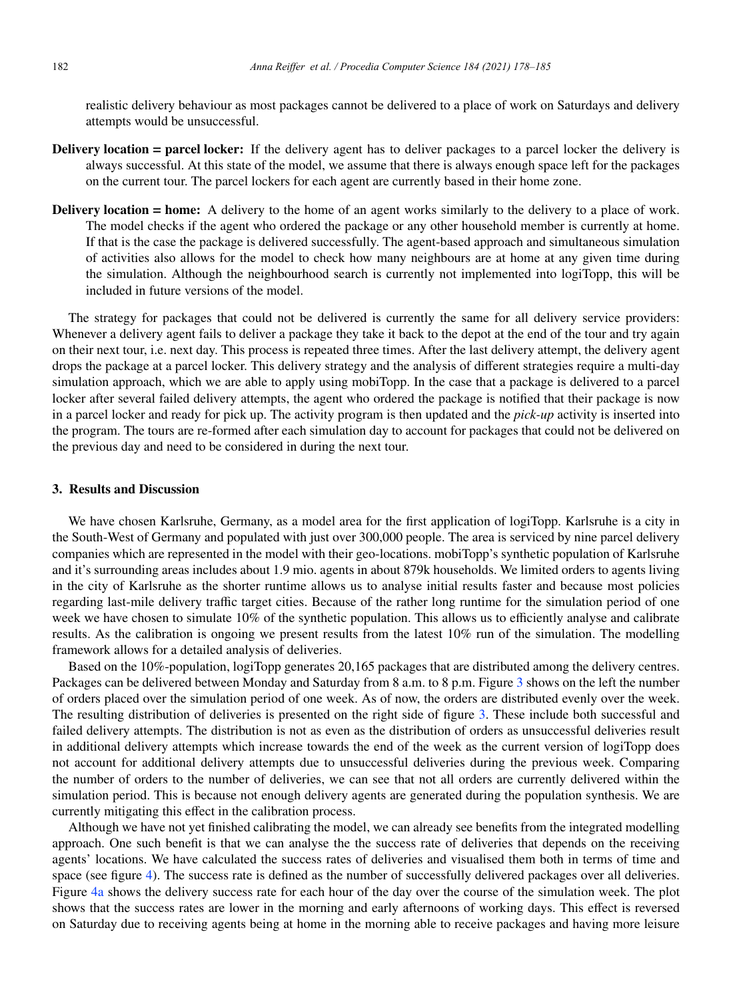realistic delivery behaviour as most packages cannot be delivered to a place of work on Saturdays and delivery attempts would be unsuccessful.

- Delivery location = parcel locker: If the delivery agent has to deliver packages to a parcel locker the delivery is always successful. At this state of the model, we assume that there is always enough space left for the packages on the current tour. The parcel lockers for each agent are currently based in their home zone.
- Delivery location = home: A delivery to the home of an agent works similarly to the delivery to a place of work. The model checks if the agent who ordered the package or any other household member is currently at home. If that is the case the package is delivered successfully. The agent-based approach and simultaneous simulation of activities also allows for the model to check how many neighbours are at home at any given time during the simulation. Although the neighbourhood search is currently not implemented into logiTopp, this will be included in future versions of the model.

The strategy for packages that could not be delivered is currently the same for all delivery service providers: Whenever a delivery agent fails to deliver a package they take it back to the depot at the end of the tour and try again on their next tour, i.e. next day. This process is repeated three times. After the last delivery attempt, the delivery agent drops the package at a parcel locker. This delivery strategy and the analysis of different strategies require a multi-day simulation approach, which we are able to apply using mobiTopp. In the case that a package is delivered to a parcel locker after several failed delivery attempts, the agent who ordered the package is notified that their package is now in a parcel locker and ready for pick up. The activity program is then updated and the *pick-up* activity is inserted into the program. The tours are re-formed after each simulation day to account for packages that could not be delivered on the previous day and need to be considered in during the next tour.

# 3. Results and Discussion

We have chosen Karlsruhe, Germany, as a model area for the first application of logiTopp. Karlsruhe is a city in the South-West of Germany and populated with just over 300,000 people. The area is serviced by nine parcel delivery companies which are represented in the model with their geo-locations. mobiTopp's synthetic population of Karlsruhe and it's surrounding areas includes about 1.9 mio. agents in about 879k households. We limited orders to agents living in the city of Karlsruhe as the shorter runtime allows us to analyse initial results faster and because most policies regarding last-mile delivery traffic target cities. Because of the rather long runtime for the simulation period of one week we have chosen to simulate 10% of the synthetic population. This allows us to efficiently analyse and calibrate results. As the calibration is ongoing we present results from the latest 10% run of the simulation. The modelling framework allows for a detailed analysis of deliveries.

Based on the 10%-population, logiTopp generates 20,165 packages that are distributed among the delivery centres. Packages can be delivered between Monday and Saturday from 8 a.m. to 8 p.m. Figure 3 shows on the left the number of orders placed over the simulation period of one week. As of now, the orders are distributed evenly over the week. The resulting distribution of deliveries is presented on the right side of figure 3. These include both successful and failed delivery attempts. The distribution is not as even as the distribution of orders as unsuccessful deliveries result in additional delivery attempts which increase towards the end of the week as the current version of logiTopp does not account for additional delivery attempts due to unsuccessful deliveries during the previous week. Comparing the number of orders to the number of deliveries, we can see that not all orders are currently delivered within the simulation period. This is because not enough delivery agents are generated during the population synthesis. We are currently mitigating this effect in the calibration process.

Although we have not yet finished calibrating the model, we can already see benefits from the integrated modelling approach. One such benefit is that we can analyse the the success rate of deliveries that depends on the receiving agents' locations. We have calculated the success rates of deliveries and visualised them both in terms of time and space (see figure 4). The success rate is defined as the number of successfully delivered packages over all deliveries. Figure 4a shows the delivery success rate for each hour of the day over the course of the simulation week. The plot shows that the success rates are lower in the morning and early afternoons of working days. This effect is reversed on Saturday due to receiving agents being at home in the morning able to receive packages and having more leisure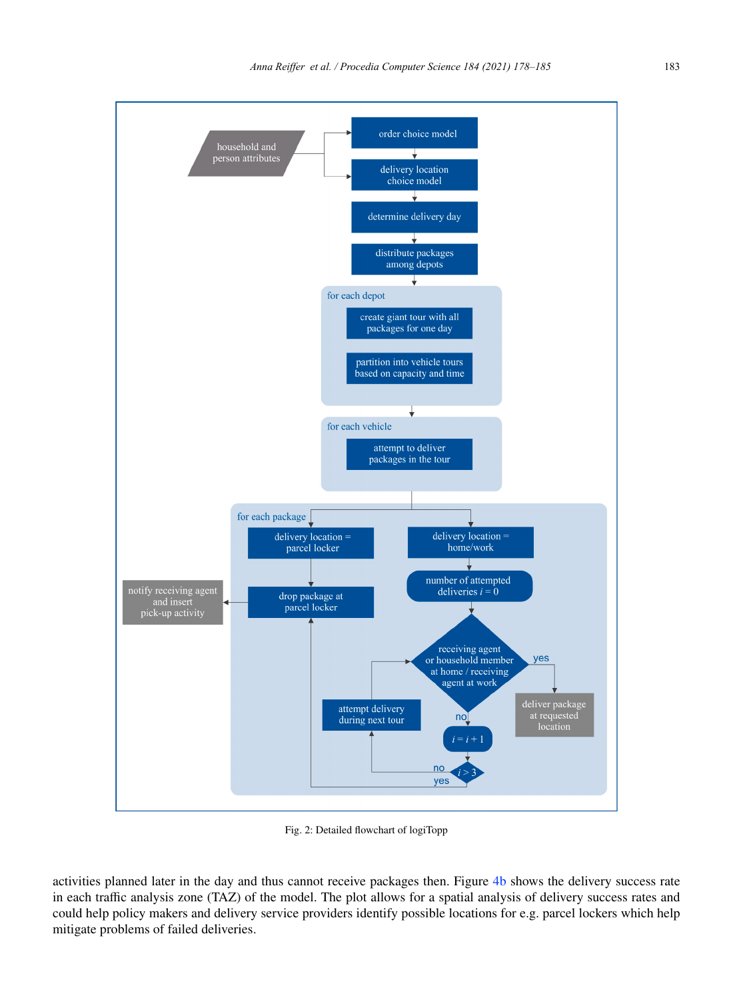

Fig. 2: Detailed flowchart of logiTopp

activities planned later in the day and thus cannot receive packages then. Figure 4b shows the delivery success rate in each traffic analysis zone (TAZ) of the model. The plot allows for a spatial analysis of delivery success rates and could help policy makers and delivery service providers identify possible locations for e.g. parcel lockers which help mitigate problems of failed deliveries.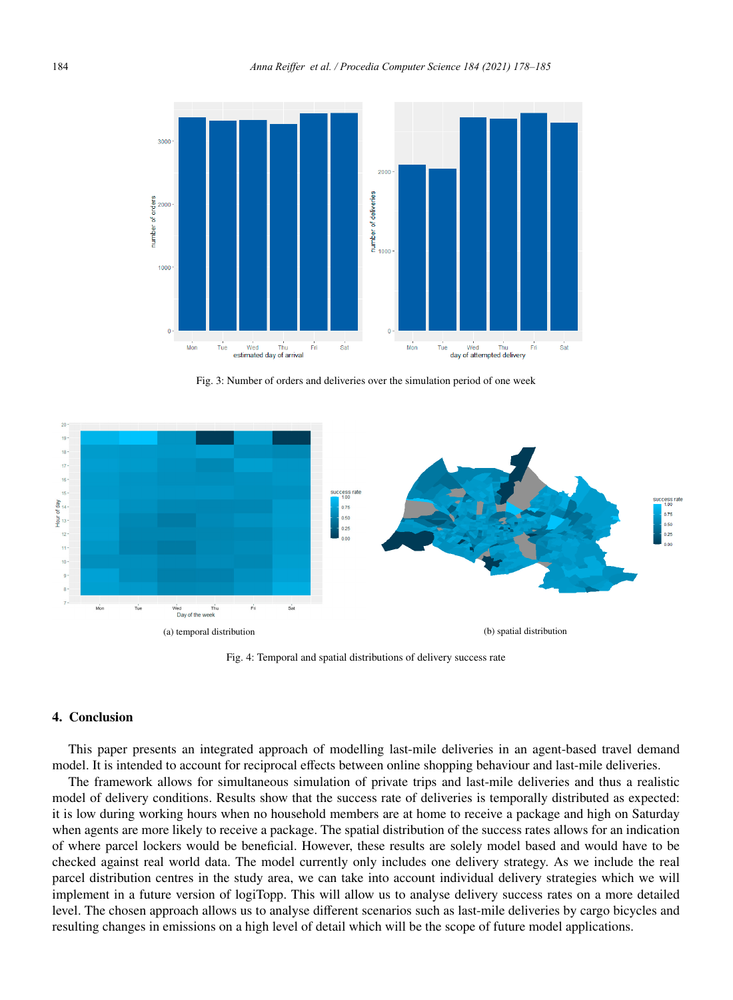

Fig. 3: Number of orders and deliveries over the simulation period of one week



Fig. 4: Temporal and spatial distributions of delivery success rate

#### 4. Conclusion

This paper presents an integrated approach of modelling last-mile deliveries in an agent-based travel demand model. It is intended to account for reciprocal effects between online shopping behaviour and last-mile deliveries.

The framework allows for simultaneous simulation of private trips and last-mile deliveries and thus a realistic model of delivery conditions. Results show that the success rate of deliveries is temporally distributed as expected: it is low during working hours when no household members are at home to receive a package and high on Saturday when agents are more likely to receive a package. The spatial distribution of the success rates allows for an indication of where parcel lockers would be beneficial. However, these results are solely model based and would have to be checked against real world data. The model currently only includes one delivery strategy. As we include the real parcel distribution centres in the study area, we can take into account individual delivery strategies which we will implement in a future version of logiTopp. This will allow us to analyse delivery success rates on a more detailed level. The chosen approach allows us to analyse different scenarios such as last-mile deliveries by cargo bicycles and resulting changes in emissions on a high level of detail which will be the scope of future model applications.